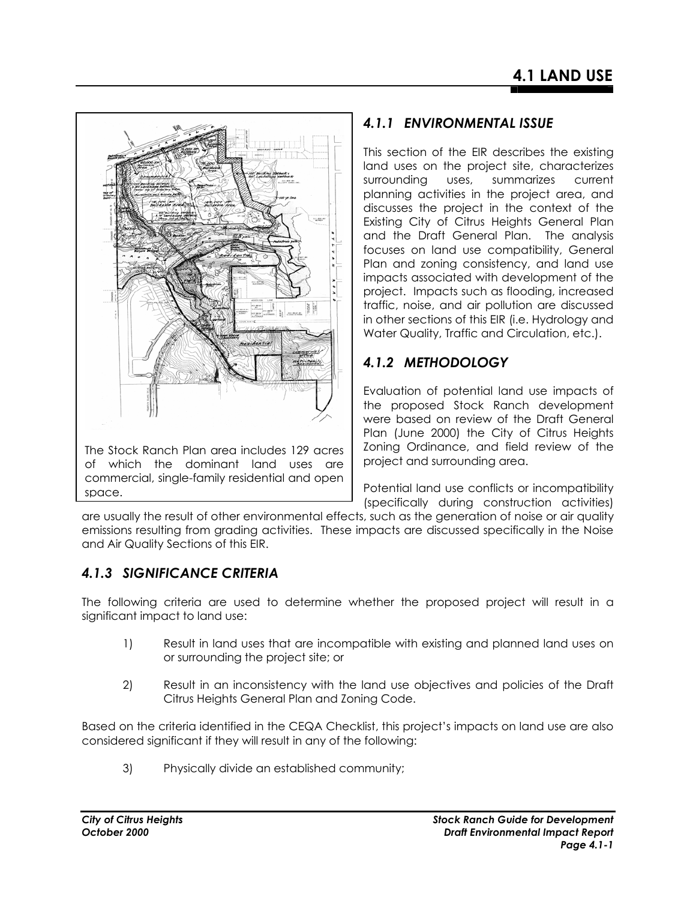

of which the dominant land uses are commercial, single-family residential and open space.

# *4.1.1 ENVIRONMENTAL ISSUE*

This section of the EIR describes the existing land uses on the project site, characterizes surrounding uses, summarizes current planning activities in the project area, and discusses the project in the context of the Existing City of Citrus Heights General Plan and the Draft General Plan. The analysis focuses on land use compatibility, General Plan and zoning consistency, and land use impacts associated with development of the project. Impacts such as flooding, increased traffic, noise, and air pollution are discussed in other sections of this EIR (i.e. Hydrology and Water Quality, Traffic and Circulation, etc.).

# *4.1.2 METHODOLOGY*

Evaluation of potential land use impacts of the proposed Stock Ranch development were based on review of the Draft General Plan (June 2000) the City of Citrus Heights Zoning Ordinance, and field review of the project and surrounding area.

Potential land use conflicts or incompatibility (specifically during construction activities)

are usually the result of other environmental effects, such as the generation of noise or air quality emissions resulting from grading activities. These impacts are discussed specifically in the Noise and Air Quality Sections of this EIR.

# *4.1.3 SIGNIFICANCE CRITERIA*

The following criteria are used to determine whether the proposed project will result in a significant impact to land use:

- 1) Result in land uses that are incompatible with existing and planned land uses on or surrounding the project site; or
- 2) Result in an inconsistency with the land use objectives and policies of the Draft Citrus Heights General Plan and Zoning Code.

Based on the criteria identified in the CEQA Checklist, this project's impacts on land use are also considered significant if they will result in any of the following:

3) Physically divide an established community;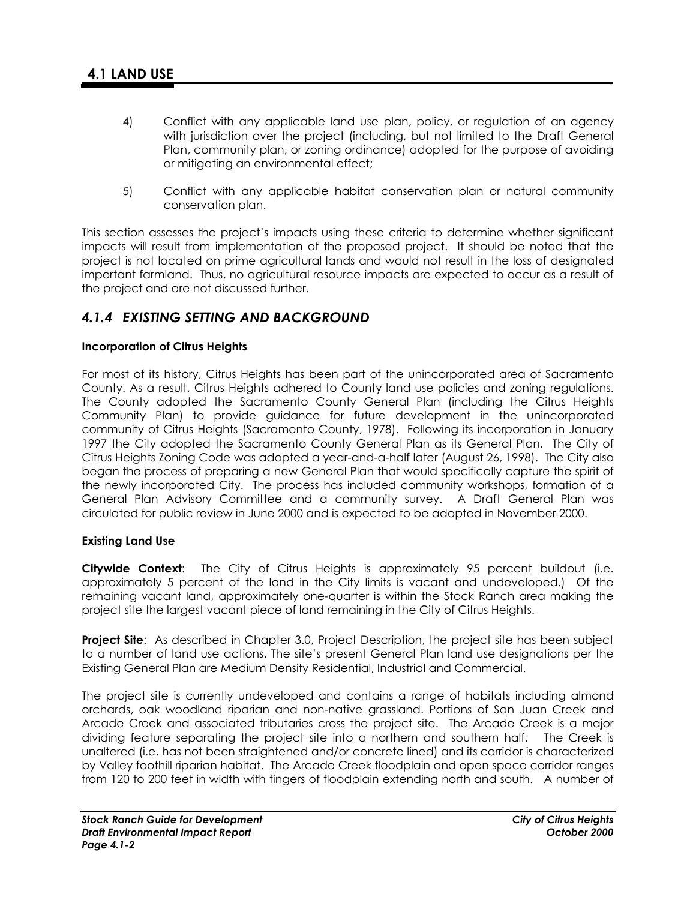- 4) Conflict with any applicable land use plan, policy, or regulation of an agency with jurisdiction over the project (including, but not limited to the Draft General Plan, community plan, or zoning ordinance) adopted for the purpose of avoiding or mitigating an environmental effect;
- 5) Conflict with any applicable habitat conservation plan or natural community conservation plan.

This section assesses the project's impacts using these criteria to determine whether significant impacts will result from implementation of the proposed project. It should be noted that the project is not located on prime agricultural lands and would not result in the loss of designated important farmland. Thus, no agricultural resource impacts are expected to occur as a result of the project and are not discussed further.

## *4.1.4 EXISTING SETTING AND BACKGROUND*

## **Incorporation of Citrus Heights**

For most of its history, Citrus Heights has been part of the unincorporated area of Sacramento County. As a result, Citrus Heights adhered to County land use policies and zoning regulations. The County adopted the Sacramento County General Plan (including the Citrus Heights Community Plan) to provide guidance for future development in the unincorporated community of Citrus Heights (Sacramento County, 1978). Following its incorporation in January 1997 the City adopted the Sacramento County General Plan as its General Plan. The City of Citrus Heights Zoning Code was adopted a year-and-a-half later (August 26, 1998). The City also began the process of preparing a new General Plan that would specifically capture the spirit of the newly incorporated City. The process has included community workshops, formation of a General Plan Advisory Committee and a community survey. A Draft General Plan was circulated for public review in June 2000 and is expected to be adopted in November 2000.

## **Existing Land Use**

**Citywide Context**: The City of Citrus Heights is approximately 95 percent buildout (i.e. approximately 5 percent of the land in the City limits is vacant and undeveloped.) Of the remaining vacant land, approximately one-quarter is within the Stock Ranch area making the project site the largest vacant piece of land remaining in the City of Citrus Heights.

**Project Site:** As described in Chapter 3.0, Project Description, the project site has been subject to a number of land use actions. The site's present General Plan land use designations per the Existing General Plan are Medium Density Residential, Industrial and Commercial.

The project site is currently undeveloped and contains a range of habitats including almond orchards, oak woodland riparian and non-native grassland. Portions of San Juan Creek and Arcade Creek and associated tributaries cross the project site. The Arcade Creek is a major dividing feature separating the project site into a northern and southern half. The Creek is unaltered (i.e. has not been straightened and/or concrete lined) and its corridor is characterized by Valley foothill riparian habitat. The Arcade Creek floodplain and open space corridor ranges from 120 to 200 feet in width with fingers of floodplain extending north and south. A number of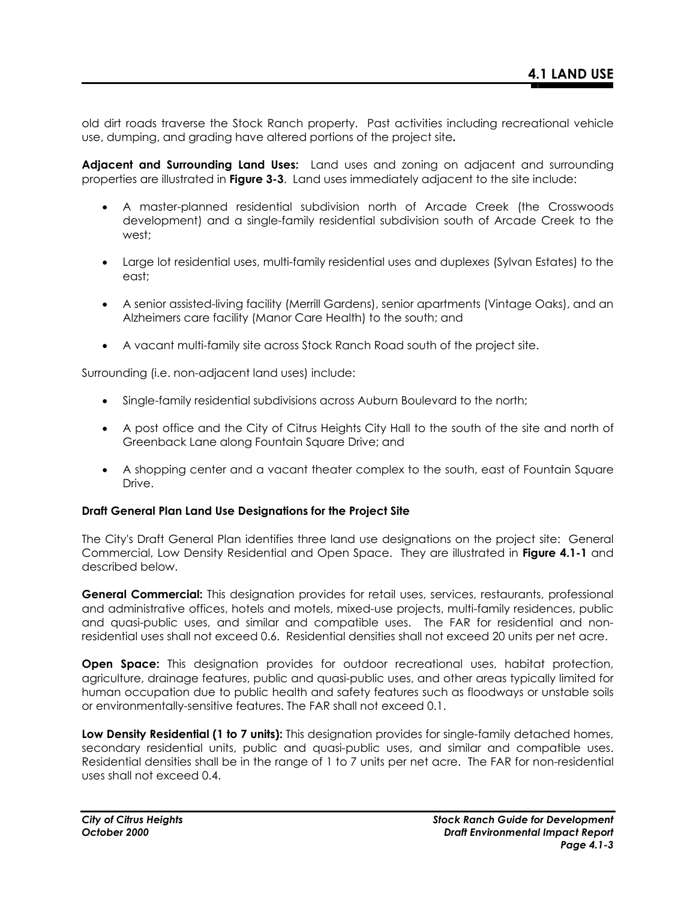old dirt roads traverse the Stock Ranch property. Past activities including recreational vehicle use, dumping, and grading have altered portions of the project site**.** 

**Adjacent and Surrounding Land Uses:** Land uses and zoning on adjacent and surrounding properties are illustrated in **Figure 3-3**. Land uses immediately adjacent to the site include:

- A master-planned residential subdivision north of Arcade Creek (the Crosswoods development) and a single-family residential subdivision south of Arcade Creek to the west;
- Large lot residential uses, multi-family residential uses and duplexes (Sylvan Estates) to the east;
- A senior assisted-living facility (Merrill Gardens), senior apartments (Vintage Oaks), and an Alzheimers care facility (Manor Care Health) to the south; and
- A vacant multi-family site across Stock Ranch Road south of the project site.

Surrounding (i.e. non-adjacent land uses) include:

- Single-family residential subdivisions across Auburn Boulevard to the north;
- A post office and the City of Citrus Heights City Hall to the south of the site and north of Greenback Lane along Fountain Square Drive; and
- A shopping center and a vacant theater complex to the south, east of Fountain Square Drive.

#### **Draft General Plan Land Use Designations for the Project Site**

The City's Draft General Plan identifies three land use designations on the project site: General Commercial, Low Density Residential and Open Space. They are illustrated in **Figure 4.1-1** and described below.

**General Commercial:** This designation provides for retail uses, services, restaurants, professional and administrative offices, hotels and motels, mixed-use projects, multi-family residences, public and quasi-public uses, and similar and compatible uses. The FAR for residential and nonresidential uses shall not exceed 0.6. Residential densities shall not exceed 20 units per net acre.

**Open Space:** This designation provides for outdoor recreational uses, habitat protection, agriculture, drainage features, public and quasi-public uses, and other areas typically limited for human occupation due to public health and safety features such as floodways or unstable soils or environmentally-sensitive features. The FAR shall not exceed 0.1.

**Low Density Residential (1 to 7 units):** This designation provides for single-family detached homes, secondary residential units, public and quasi-public uses, and similar and compatible uses. Residential densities shall be in the range of 1 to 7 units per net acre. The FAR for non-residential uses shall not exceed 0.4.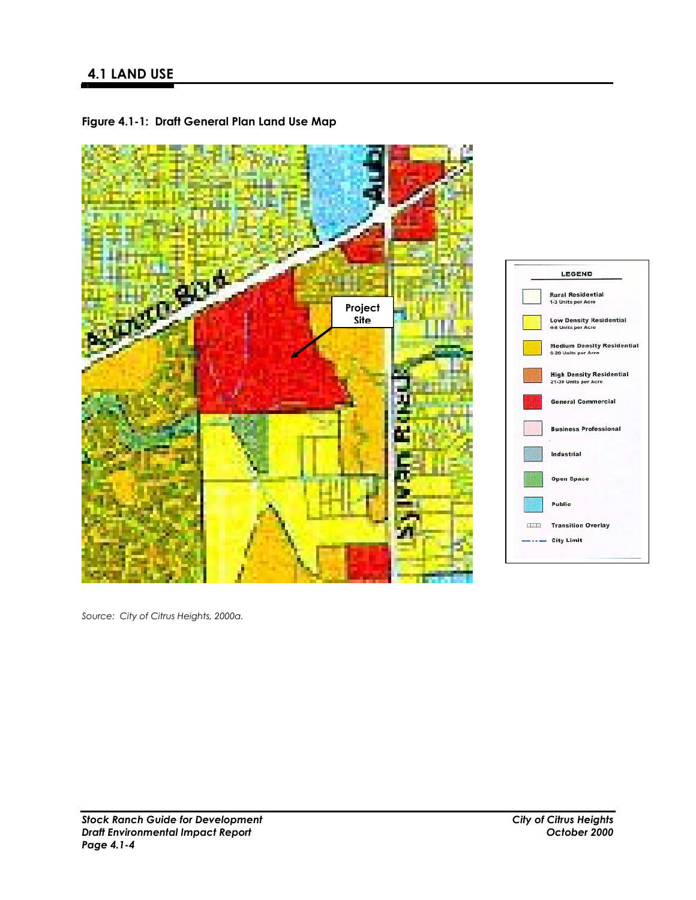

**Figure 4.1-1: Draft General Plan Land Use Map**

*Source: City of Citrus Heights, 2000a.*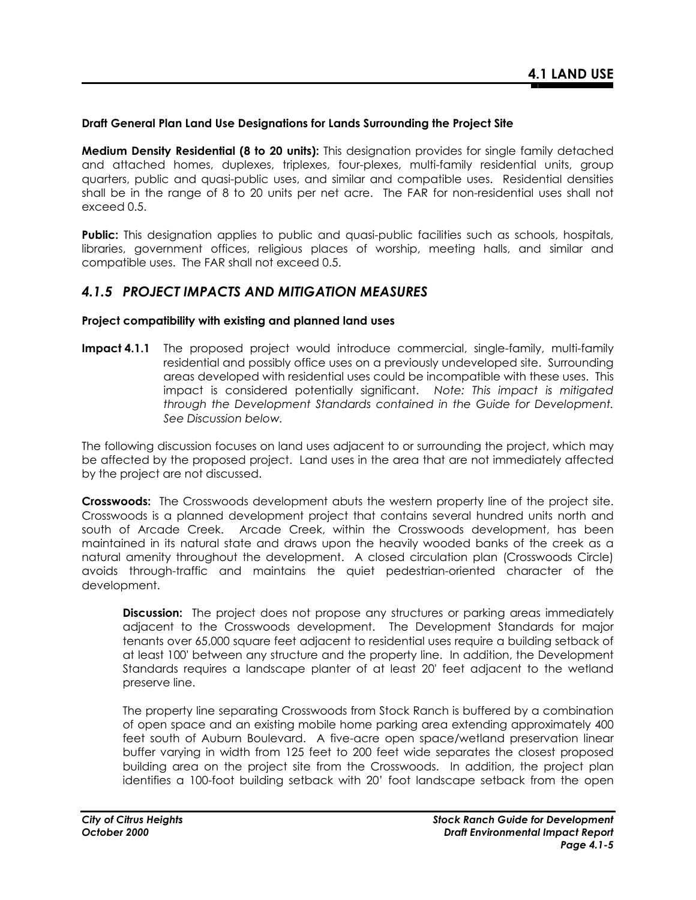## **Draft General Plan Land Use Designations for Lands Surrounding the Project Site**

**Medium Density Residential (8 to 20 units):** This designation provides for single family detached and attached homes, duplexes, triplexes, four-plexes, multi-family residential units, group quarters, public and quasi-public uses, and similar and compatible uses. Residential densities shall be in the range of 8 to 20 units per net acre. The FAR for non-residential uses shall not exceed 0.5.

**Public:** This designation applies to public and quasi-public facilities such as schools, hospitals, libraries, government offices, religious places of worship, meeting halls, and similar and compatible uses. The FAR shall not exceed 0.5.

## *4.1.5 PROJECT IMPACTS AND MITIGATION MEASURES*

#### **Project compatibility with existing and planned land uses**

**Impact 4.1.1** The proposed project would introduce commercial, single-family, multi-family residential and possibly office uses on a previously undeveloped site. Surrounding areas developed with residential uses could be incompatible with these uses. This impact is considered potentially significant. *Note: This impact is mitigated through the Development Standards contained in the Guide for Development. See Discussion below.*

The following discussion focuses on land uses adjacent to or surrounding the project, which may be affected by the proposed project. Land uses in the area that are not immediately affected by the project are not discussed.

**Crosswoods:** The Crosswoods development abuts the western property line of the project site. Crosswoods is a planned development project that contains several hundred units north and south of Arcade Creek. Arcade Creek, within the Crosswoods development, has been maintained in its natural state and draws upon the heavily wooded banks of the creek as a natural amenity throughout the development. A closed circulation plan (Crosswoods Circle) avoids through-traffic and maintains the quiet pedestrian-oriented character of the development.

**Discussion:** The project does not propose any structures or parking areas immediately adjacent to the Crosswoods development. The Development Standards for major tenants over 65,000 square feet adjacent to residential uses require a building setback of at least 100' between any structure and the property line. In addition, the Development Standards requires a landscape planter of at least 20' feet adjacent to the wetland preserve line.

The property line separating Crosswoods from Stock Ranch is buffered by a combination of open space and an existing mobile home parking area extending approximately 400 feet south of Auburn Boulevard. A five-acre open space/wetland preservation linear buffer varying in width from 125 feet to 200 feet wide separates the closest proposed building area on the project site from the Crosswoods. In addition, the project plan identifies a 100-foot building setback with 20' foot landscape setback from the open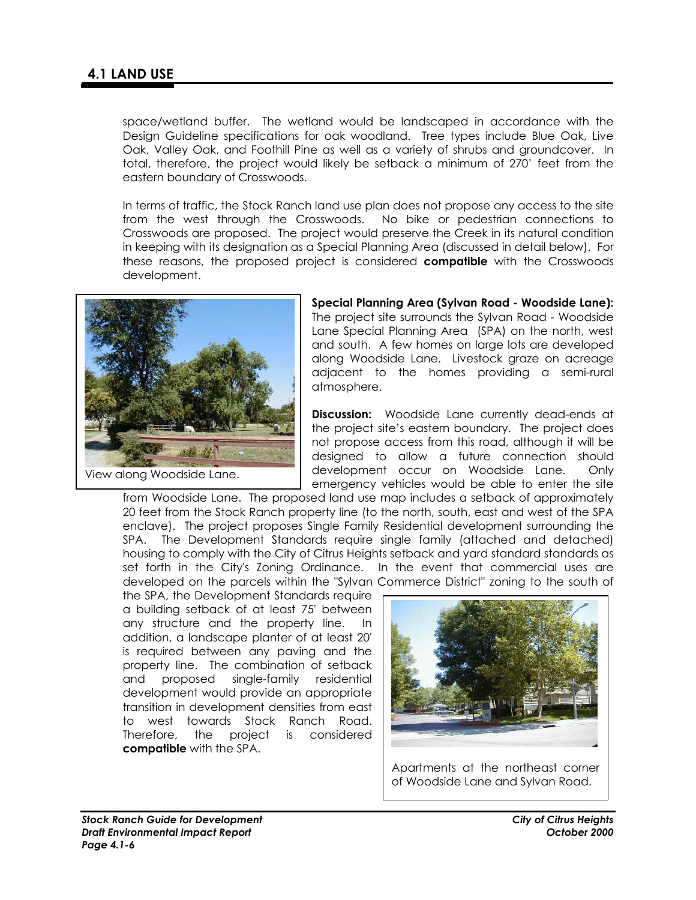space/wetland buffer. The wetland would be landscaped in accordance with the Design Guideline specifications for oak woodland. Tree types include Blue Oak, Live Oak, Valley Oak, and Foothill Pine as well as a variety of shrubs and groundcover. In total, therefore, the project would likely be setback a minimum of 270' feet from the eastern boundary of Crosswoods.

In terms of traffic, the Stock Ranch land use plan does not propose any access to the site from the west through the Crosswoods. No bike or pedestrian connections to Crosswoods are proposed. The project would preserve the Creek in its natural condition in keeping with its designation as a Special Planning Area (discussed in detail below). For these reasons, the proposed project is considered **compatible** with the Crosswoods development.



View along Woodside Lane.

**Special Planning Area (Sylvan Road - Woodside Lane):**  The project site surrounds the Sylvan Road - Woodside Lane Special Planning Area (SPA) on the north, west and south. A few homes on large lots are developed along Woodside Lane. Livestock graze on acreage adjacent to the homes providing a semi-rural atmosphere.

**Discussion:** Woodside Lane currently dead-ends at the project site's eastern boundary. The project does not propose access from this road, although it will be designed to allow a future connection should development occur on Woodside Lane. Only emergency vehicles would be able to enter the site

from Woodside Lane. The proposed land use map includes a setback of approximately 20 feet from the Stock Ranch property line (to the north, south, east and west of the SPA enclave). The project proposes Single Family Residential development surrounding the SPA. The Development Standards require single family (attached and detached) housing to comply with the City of Citrus Heights setback and yard standard standards as set forth in the City's Zoning Ordinance. In the event that commercial uses are

developed on the parcels within the "Sylvan Commerce District" zoning to the south of the SPA, the Development Standards require a building setback of at least 75' between any structure and the property line. In addition, a landscape planter of at least 20' is required between any paving and the property line. The combination of setback and proposed single-family residential development would provide an appropriate transition in development densities from east to west towards Stock Ranch Road. Therefore, the project is considered **compatible** with the SPA.



Apartments at the northeast corner of Woodside Lane and Sylvan Road.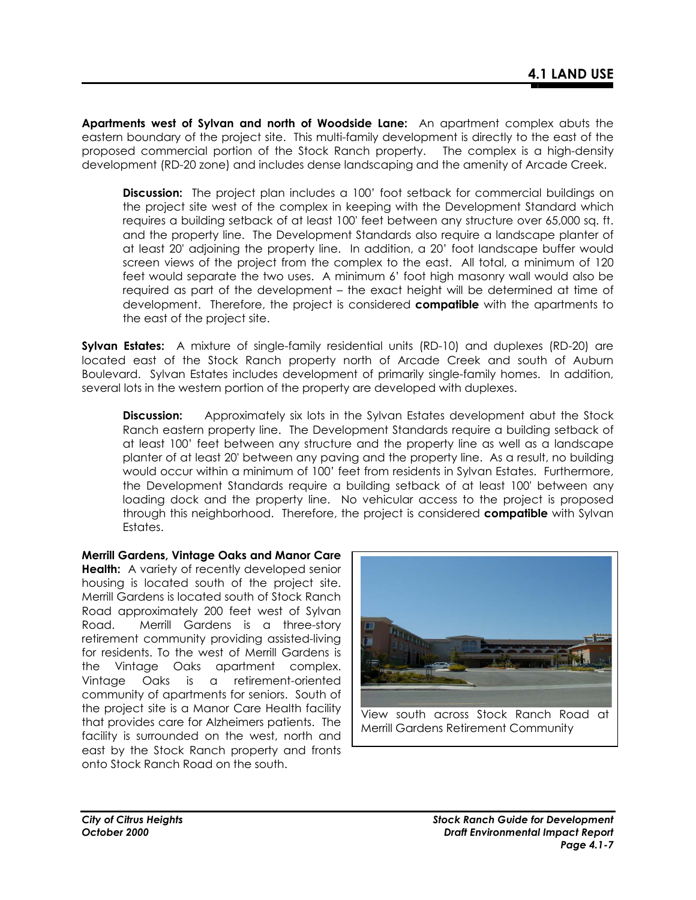**Apartments west of Sylvan and north of Woodside Lane:** An apartment complex abuts the eastern boundary of the project site. This multi-family development is directly to the east of the proposed commercial portion of the Stock Ranch property. The complex is a high-density development (RD-20 zone) and includes dense landscaping and the amenity of Arcade Creek.

**Discussion:** The project plan includes a 100' foot setback for commercial buildings on the project site west of the complex in keeping with the Development Standard which requires a building setback of at least 100' feet between any structure over 65,000 sq. ft. and the property line. The Development Standards also require a landscape planter of at least 20' adjoining the property line. In addition, a 20' foot landscape buffer would screen views of the project from the complex to the east. All total, a minimum of 120 feet would separate the two uses. A minimum 6' foot high masonry wall would also be required as part of the development – the exact height will be determined at time of development. Therefore, the project is considered **compatible** with the apartments to the east of the project site.

**Sylvan Estates:** A mixture of single-family residential units (RD-10) and duplexes (RD-20) are located east of the Stock Ranch property north of Arcade Creek and south of Auburn Boulevard. Sylvan Estates includes development of primarily single-family homes. In addition, several lots in the western portion of the property are developed with duplexes.

**Discussion:** Approximately six lots in the Sylvan Estates development abut the Stock Ranch eastern property line. The Development Standards require a building setback of at least 100' feet between any structure and the property line as well as a landscape planter of at least 20' between any paving and the property line. As a result, no building would occur within a minimum of 100' feet from residents in Sylvan Estates. Furthermore, the Development Standards require a building setback of at least 100' between any loading dock and the property line. No vehicular access to the project is proposed through this neighborhood. Therefore, the project is considered **compatible** with Sylvan Estates.

**Merrill Gardens, Vintage Oaks and Manor Care Health:** A variety of recently developed senior housing is located south of the project site. Merrill Gardens is located south of Stock Ranch Road approximately 200 feet west of Sylvan Road. Merrill Gardens is a three-story retirement community providing assisted-living for residents. To the west of Merrill Gardens is the Vintage Oaks apartment complex. Vintage Oaks is a retirement-oriented community of apartments for seniors. South of the project site is a Manor Care Health facility that provides care for Alzheimers patients. The facility is surrounded on the west, north and east by the Stock Ranch property and fronts onto Stock Ranch Road on the south.

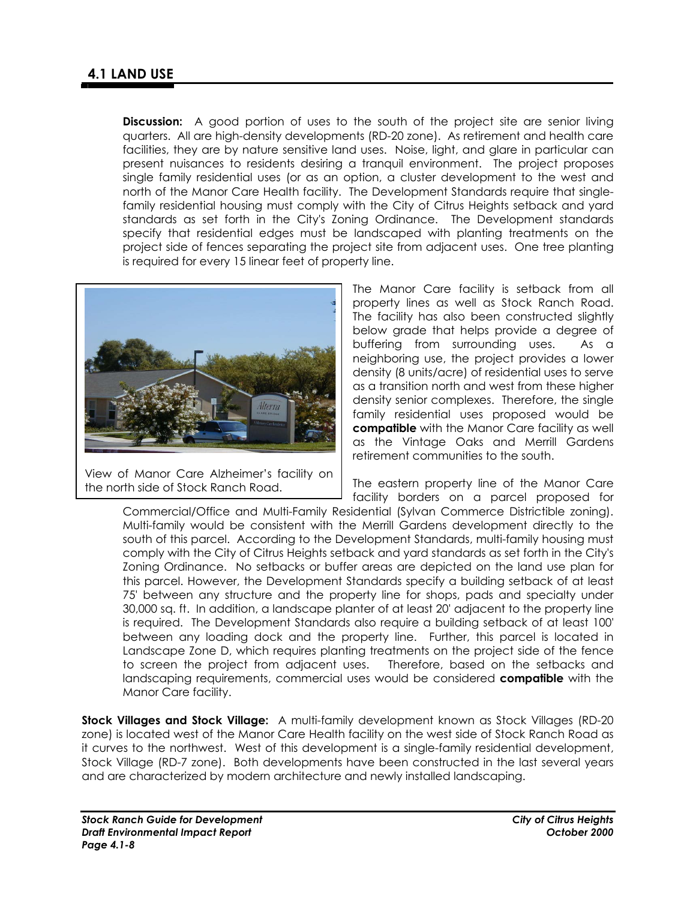**Discussion:** A good portion of uses to the south of the project site are senior living quarters. All are high-density developments (RD-20 zone). As retirement and health care facilities, they are by nature sensitive land uses. Noise, light, and glare in particular can present nuisances to residents desiring a tranquil environment. The project proposes single family residential uses (or as an option, a cluster development to the west and north of the Manor Care Health facility. The Development Standards require that singlefamily residential housing must comply with the City of Citrus Heights setback and yard standards as set forth in the City's Zoning Ordinance. The Development standards specify that residential edges must be landscaped with planting treatments on the project side of fences separating the project site from adjacent uses. One tree planting is required for every 15 linear feet of property line.



View of Manor Care Alzheimer's facility on the north side of Stock Ranch Road.

The Manor Care facility is setback from all property lines as well as Stock Ranch Road. The facility has also been constructed slightly below grade that helps provide a degree of buffering from surrounding uses. As a neighboring use, the project provides a lower density (8 units/acre) of residential uses to serve as a transition north and west from these higher density senior complexes. Therefore, the single family residential uses proposed would be **compatible** with the Manor Care facility as well as the Vintage Oaks and Merrill Gardens retirement communities to the south.

The eastern property line of the Manor Care facility borders on a parcel proposed for

Commercial/Office and Multi-Family Residential (Sylvan Commerce Districtible zoning). Multi-family would be consistent with the Merrill Gardens development directly to the south of this parcel. According to the Development Standards, multi-family housing must comply with the City of Citrus Heights setback and yard standards as set forth in the City's Zoning Ordinance. No setbacks or buffer areas are depicted on the land use plan for this parcel. However, the Development Standards specify a building setback of at least 75' between any structure and the property line for shops, pads and specialty under 30,000 sq. ft. In addition, a landscape planter of at least 20' adjacent to the property line is required. The Development Standards also require a building setback of at least 100' between any loading dock and the property line. Further, this parcel is located in Landscape Zone D, which requires planting treatments on the project side of the fence to screen the project from adjacent uses. Therefore, based on the setbacks and landscaping requirements, commercial uses would be considered **compatible** with the Manor Care facility.

**Stock Villages and Stock Village:** A multi-family development known as Stock Villages (RD-20 zone) is located west of the Manor Care Health facility on the west side of Stock Ranch Road as it curves to the northwest. West of this development is a single-family residential development, Stock Village (RD-7 zone). Both developments have been constructed in the last several years and are characterized by modern architecture and newly installed landscaping.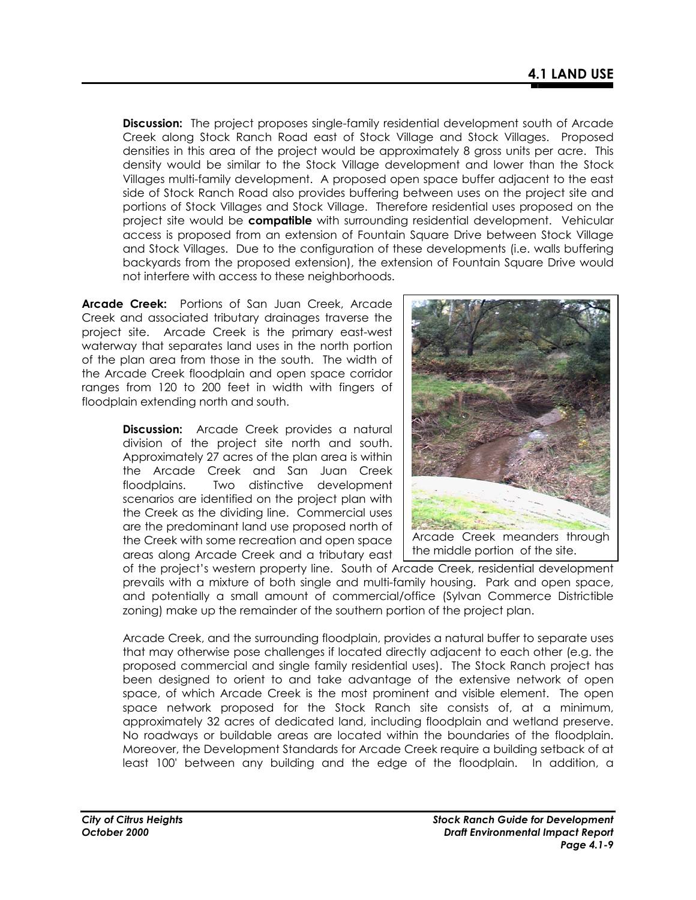**Discussion:** The project proposes single-family residential development south of Arcade Creek along Stock Ranch Road east of Stock Village and Stock Villages. Proposed densities in this area of the project would be approximately 8 gross units per acre. This density would be similar to the Stock Village development and lower than the Stock Villages multi-family development. A proposed open space buffer adjacent to the east side of Stock Ranch Road also provides buffering between uses on the project site and portions of Stock Villages and Stock Village. Therefore residential uses proposed on the project site would be **compatible** with surrounding residential development. Vehicular access is proposed from an extension of Fountain Square Drive between Stock Village and Stock Villages. Due to the configuration of these developments (i.e. walls buffering backyards from the proposed extension), the extension of Fountain Square Drive would not interfere with access to these neighborhoods.

**Arcade Creek:** Portions of San Juan Creek, Arcade Creek and associated tributary drainages traverse the project site. Arcade Creek is the primary east-west waterway that separates land uses in the north portion of the plan area from those in the south. The width of the Arcade Creek floodplain and open space corridor ranges from 120 to 200 feet in width with fingers of floodplain extending north and south.

> **Discussion:** Arcade Creek provides a natural division of the project site north and south. Approximately 27 acres of the plan area is within the Arcade Creek and San Juan Creek floodplains. Two distinctive development scenarios are identified on the project plan with the Creek as the dividing line. Commercial uses are the predominant land use proposed north of the Creek with some recreation and open space areas along Arcade Creek and a tributary east



of the project's western property line. South of Arcade Creek, residential development prevails with a mixture of both single and multi-family housing. Park and open space, and potentially a small amount of commercial/office (Sylvan Commerce Districtible zoning) make up the remainder of the southern portion of the project plan.

Arcade Creek, and the surrounding floodplain, provides a natural buffer to separate uses that may otherwise pose challenges if located directly adjacent to each other (e.g. the proposed commercial and single family residential uses). The Stock Ranch project has been designed to orient to and take advantage of the extensive network of open space, of which Arcade Creek is the most prominent and visible element. The open space network proposed for the Stock Ranch site consists of, at a minimum, approximately 32 acres of dedicated land, including floodplain and wetland preserve. No roadways or buildable areas are located within the boundaries of the floodplain. Moreover, the Development Standards for Arcade Creek require a building setback of at least 100' between any building and the edge of the floodplain. In addition, a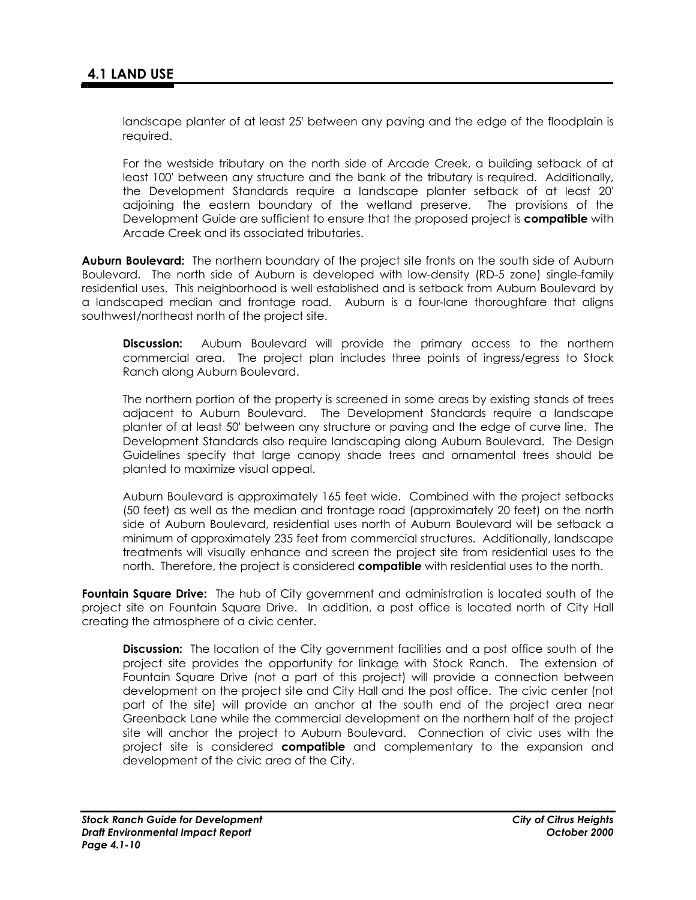landscape planter of at least 25' between any paving and the edge of the floodplain is required.

For the westside tributary on the north side of Arcade Creek, a building setback of at least 100' between any structure and the bank of the tributary is required. Additionally, the Development Standards require a landscape planter setback of at least 20' adjoining the eastern boundary of the wetland preserve. The provisions of the Development Guide are sufficient to ensure that the proposed project is **compatible** with Arcade Creek and its associated tributaries.

**Auburn Boulevard:** The northern boundary of the project site fronts on the south side of Auburn Boulevard. The north side of Auburn is developed with low-density (RD-5 zone) single-family residential uses. This neighborhood is well established and is setback from Auburn Boulevard by a landscaped median and frontage road. Auburn is a four-lane thoroughfare that aligns southwest/northeast north of the project site.

**Discussion:** Auburn Boulevard will provide the primary access to the northern commercial area. The project plan includes three points of ingress/egress to Stock Ranch along Auburn Boulevard.

The northern portion of the property is screened in some areas by existing stands of trees adjacent to Auburn Boulevard. The Development Standards require a landscape planter of at least 50' between any structure or paving and the edge of curve line. The Development Standards also require landscaping along Auburn Boulevard. The Design Guidelines specify that large canopy shade trees and ornamental trees should be planted to maximize visual appeal.

Auburn Boulevard is approximately 165 feet wide. Combined with the project setbacks (50 feet) as well as the median and frontage road (approximately 20 feet) on the north side of Auburn Boulevard, residential uses north of Auburn Boulevard will be setback a minimum of approximately 235 feet from commercial structures. Additionally, landscape treatments will visually enhance and screen the project site from residential uses to the north. Therefore, the project is considered **compatible** with residential uses to the north.

**Fountain Square Drive:** The hub of City government and administration is located south of the project site on Fountain Square Drive. In addition, a post office is located north of City Hall creating the atmosphere of a civic center.

**Discussion:** The location of the City government facilities and a post office south of the project site provides the opportunity for linkage with Stock Ranch. The extension of Fountain Square Drive (not a part of this project) will provide a connection between development on the project site and City Hall and the post office. The civic center (not part of the site) will provide an anchor at the south end of the project area near Greenback Lane while the commercial development on the northern half of the project site will anchor the project to Auburn Boulevard. Connection of civic uses with the project site is considered **compatible** and complementary to the expansion and development of the civic area of the City.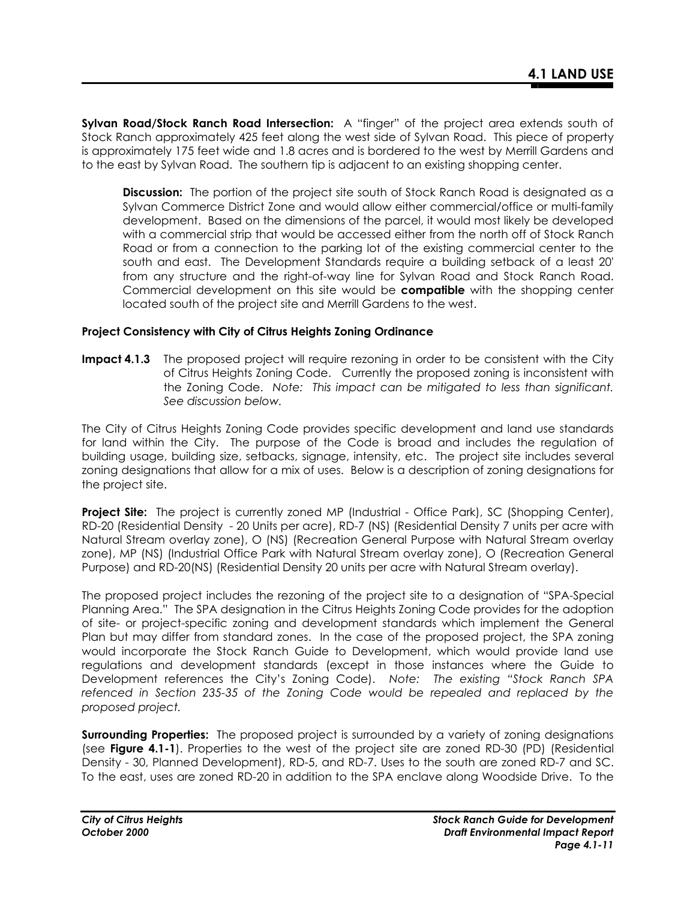**Sylvan Road/Stock Ranch Road Intersection:** A "finger" of the project area extends south of Stock Ranch approximately 425 feet along the west side of Sylvan Road. This piece of property is approximately 175 feet wide and 1.8 acres and is bordered to the west by Merrill Gardens and to the east by Sylvan Road. The southern tip is adjacent to an existing shopping center.

**Discussion:** The portion of the project site south of Stock Ranch Road is designated as a Sylvan Commerce District Zone and would allow either commercial/office or multi-family development. Based on the dimensions of the parcel, it would most likely be developed with a commercial strip that would be accessed either from the north off of Stock Ranch Road or from a connection to the parking lot of the existing commercial center to the south and east. The Development Standards require a building setback of a least 20' from any structure and the right-of-way line for Sylvan Road and Stock Ranch Road. Commercial development on this site would be **compatible** with the shopping center located south of the project site and Merrill Gardens to the west.

## **Project Consistency with City of Citrus Heights Zoning Ordinance**

**Impact 4.1.3** The proposed project will require rezoning in order to be consistent with the City of Citrus Heights Zoning Code. Currently the proposed zoning is inconsistent with the Zoning Code. *Note: This impact can be mitigated to less than significant. See discussion below.* 

The City of Citrus Heights Zoning Code provides specific development and land use standards for land within the City. The purpose of the Code is broad and includes the regulation of building usage, building size, setbacks, signage, intensity, etc. The project site includes several zoning designations that allow for a mix of uses. Below is a description of zoning designations for the project site.

**Project Site:** The project is currently zoned MP (Industrial - Office Park), SC (Shopping Center), RD-20 (Residential Density - 20 Units per acre), RD-7 (NS) (Residential Density 7 units per acre with Natural Stream overlay zone), O (NS) (Recreation General Purpose with Natural Stream overlay zone), MP (NS) (Industrial Office Park with Natural Stream overlay zone), O (Recreation General Purpose) and RD-20(NS) (Residential Density 20 units per acre with Natural Stream overlay).

The proposed project includes the rezoning of the project site to a designation of "SPA-Special Planning Area." The SPA designation in the Citrus Heights Zoning Code provides for the adoption of site- or project-specific zoning and development standards which implement the General Plan but may differ from standard zones. In the case of the proposed project, the SPA zoning would incorporate the Stock Ranch Guide to Development, which would provide land use regulations and development standards (except in those instances where the Guide to Development references the City's Zoning Code). *Note: The existing "Stock Ranch SPA*  refenced in Section 235-35 of the *Zoning Code would be repealed and replaced by the proposed project.* 

**Surrounding Properties:** The proposed project is surrounded by a variety of zoning designations (see **Figure 4.1-1**). Properties to the west of the project site are zoned RD-30 (PD) (Residential Density - 30, Planned Development), RD-5, and RD-7. Uses to the south are zoned RD-7 and SC. To the east, uses are zoned RD-20 in addition to the SPA enclave along Woodside Drive. To the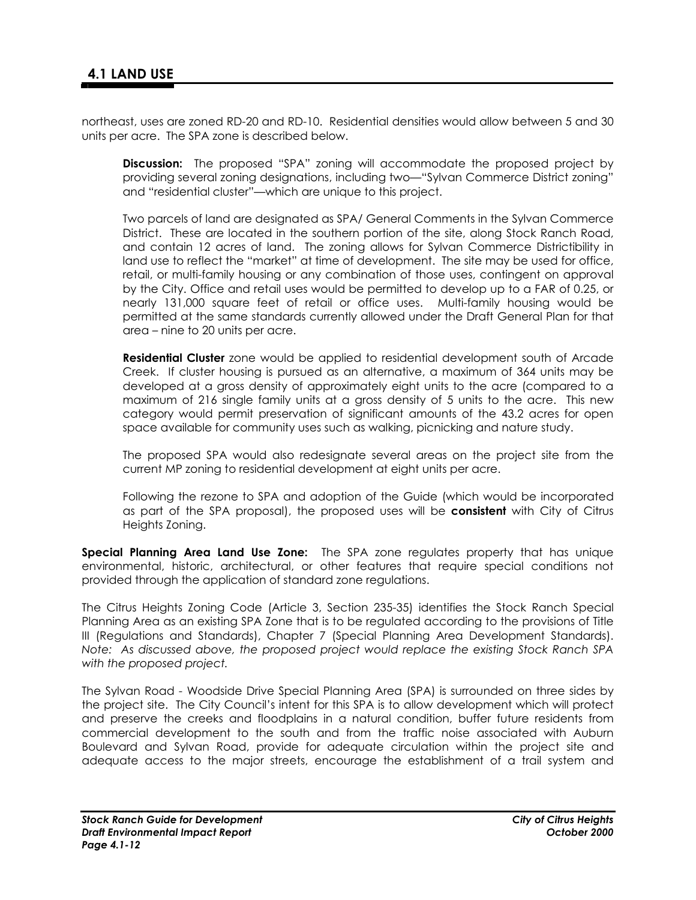northeast, uses are zoned RD-20 and RD-10. Residential densities would allow between 5 and 30 units per acre. The SPA zone is described below.

**Discussion:** The proposed "SPA" zoning will accommodate the proposed project by providing several zoning designations, including two—"Sylvan Commerce District zoning" and "residential cluster"—which are unique to this project.

Two parcels of land are designated as SPA/ General Comments in the Sylvan Commerce District. These are located in the southern portion of the site, along Stock Ranch Road, and contain 12 acres of land. The zoning allows for Sylvan Commerce Districtibility in land use to reflect the "market" at time of development. The site may be used for office, retail, or multi-family housing or any combination of those uses, contingent on approval by the City. Office and retail uses would be permitted to develop up to a FAR of 0.25, or nearly 131,000 square feet of retail or office uses. Multi-family housing would be permitted at the same standards currently allowed under the Draft General Plan for that area – nine to 20 units per acre.

**Residential Cluster** zone would be applied to residential development south of Arcade Creek. If cluster housing is pursued as an alternative, a maximum of 364 units may be developed at a gross density of approximately eight units to the acre (compared to a maximum of 216 single family units at a gross density of 5 units to the acre. This new category would permit preservation of significant amounts of the 43.2 acres for open space available for community uses such as walking, picnicking and nature study.

The proposed SPA would also redesignate several areas on the project site from the current MP zoning to residential development at eight units per acre.

Following the rezone to SPA and adoption of the Guide (which would be incorporated as part of the SPA proposal), the proposed uses will be **consistent** with City of Citrus Heights Zoning.

**Special Planning Area Land Use Zone:** The SPA zone regulates property that has unique environmental, historic, architectural, or other features that require special conditions not provided through the application of standard zone regulations.

The Citrus Heights Zoning Code (Article 3, Section 235-35) identifies the Stock Ranch Special Planning Area as an existing SPA Zone that is to be regulated according to the provisions of Title III (Regulations and Standards), Chapter 7 (Special Planning Area Development Standards). *Note: As discussed above, the proposed project would replace the existing Stock Ranch SPA with the proposed project.* 

The Sylvan Road - Woodside Drive Special Planning Area (SPA) is surrounded on three sides by the project site. The City Council's intent for this SPA is to allow development which will protect and preserve the creeks and floodplains in a natural condition, buffer future residents from commercial development to the south and from the traffic noise associated with Auburn Boulevard and Sylvan Road, provide for adequate circulation within the project site and adequate access to the major streets, encourage the establishment of a trail system and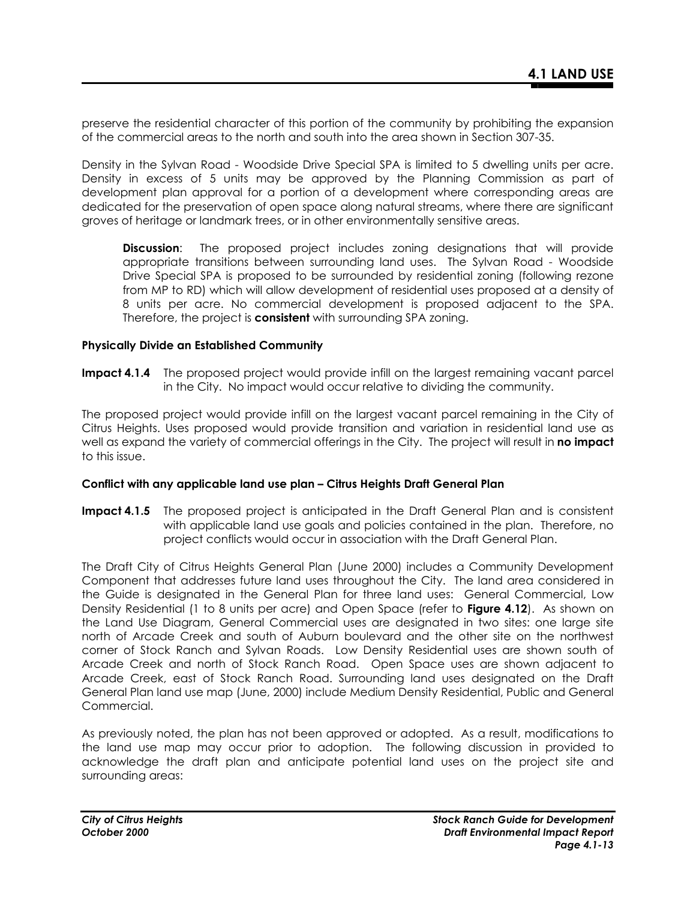preserve the residential character of this portion of the community by prohibiting the expansion of the commercial areas to the north and south into the area shown in Section 307-35.

Density in the Sylvan Road - Woodside Drive Special SPA is limited to 5 dwelling units per acre. Density in excess of 5 units may be approved by the Planning Commission as part of development plan approval for a portion of a development where corresponding areas are dedicated for the preservation of open space along natural streams, where there are significant groves of heritage or landmark trees, or in other environmentally sensitive areas.

**Discussion**: The proposed project includes zoning designations that will provide appropriate transitions between surrounding land uses. The Sylvan Road - Woodside Drive Special SPA is proposed to be surrounded by residential zoning (following rezone from MP to RD) which will allow development of residential uses proposed at a density of 8 units per acre. No commercial development is proposed adjacent to the SPA. Therefore, the project is **consistent** with surrounding SPA zoning.

#### **Physically Divide an Established Community**

**Impact 4.1.4** The proposed project would provide infill on the largest remaining vacant parcel in the City. No impact would occur relative to dividing the community.

The proposed project would provide infill on the largest vacant parcel remaining in the City of Citrus Heights. Uses proposed would provide transition and variation in residential land use as well as expand the variety of commercial offerings in the City. The project will result in **no impact** to this issue.

#### **Conflict with any applicable land use plan – Citrus Heights Draft General Plan**

**Impact 4.1.5** The proposed project is anticipated in the Draft General Plan and is consistent with applicable land use goals and policies contained in the plan. Therefore, no project conflicts would occur in association with the Draft General Plan.

The Draft City of Citrus Heights General Plan (June 2000) includes a Community Development Component that addresses future land uses throughout the City. The land area considered in the Guide is designated in the General Plan for three land uses: General Commercial, Low Density Residential (1 to 8 units per acre) and Open Space (refer to **Figure 4.12**). As shown on the Land Use Diagram, General Commercial uses are designated in two sites: one large site north of Arcade Creek and south of Auburn boulevard and the other site on the northwest corner of Stock Ranch and Sylvan Roads. Low Density Residential uses are shown south of Arcade Creek and north of Stock Ranch Road. Open Space uses are shown adjacent to Arcade Creek, east of Stock Ranch Road. Surrounding land uses designated on the Draft General Plan land use map (June, 2000) include Medium Density Residential, Public and General Commercial.

As previously noted, the plan has not been approved or adopted. As a result, modifications to the land use map may occur prior to adoption. The following discussion in provided to acknowledge the draft plan and anticipate potential land uses on the project site and surrounding areas: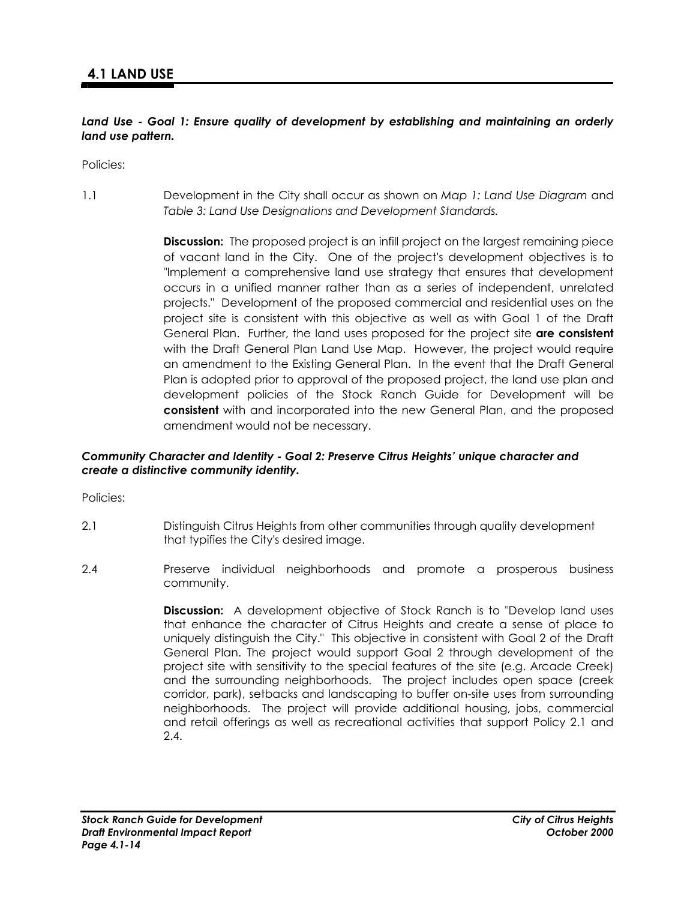## *Land Use - Goal 1: Ensure quality of development by establishing and maintaining an orderly land use pattern.*

Policies:

1.1 Development in the City shall occur as shown on *Map 1: Land Use Diagram* and *Table 3: Land Use Designations and Development Standards.*

> **Discussion:** The proposed project is an infill project on the largest remaining piece of vacant land in the City. One of the project's development objectives is to "Implement a comprehensive land use strategy that ensures that development occurs in a unified manner rather than as a series of independent, unrelated projects." Development of the proposed commercial and residential uses on the project site is consistent with this objective as well as with Goal 1 of the Draft General Plan. Further, the land uses proposed for the project site **are consistent**  with the Draft General Plan Land Use Map. However, the project would require an amendment to the Existing General Plan. In the event that the Draft General Plan is adopted prior to approval of the proposed project, the land use plan and development policies of the Stock Ranch Guide for Development will be **consistent** with and incorporated into the new General Plan, and the proposed amendment would not be necessary.

#### *Community Character and Identity - Goal 2: Preserve Citrus Heights' unique character and create a distinctive community identity.*

Policies:

- 2.1 Distinguish Citrus Heights from other communities through quality development that typifies the City's desired image.
- 2.4 Preserve individual neighborhoods and promote a prosperous business community.

**Discussion:** A development objective of Stock Ranch is to "Develop land uses that enhance the character of Citrus Heights and create a sense of place to uniquely distinguish the City." This objective in consistent with Goal 2 of the Draft General Plan. The project would support Goal 2 through development of the project site with sensitivity to the special features of the site (e.g. Arcade Creek) and the surrounding neighborhoods. The project includes open space (creek corridor, park), setbacks and landscaping to buffer on-site uses from surrounding neighborhoods. The project will provide additional housing, jobs, commercial and retail offerings as well as recreational activities that support Policy 2.1 and 2.4.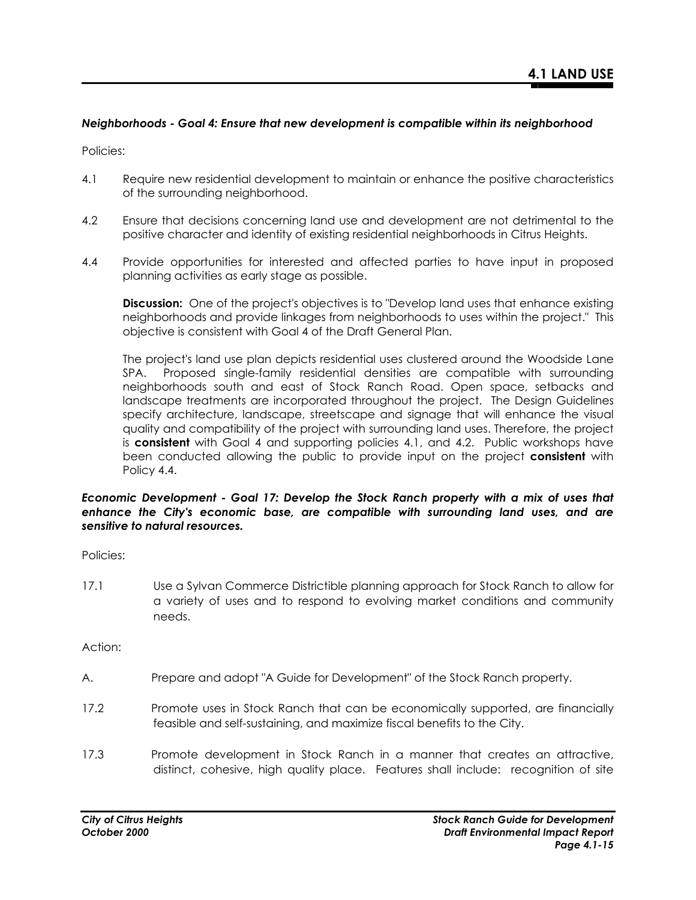## *Neighborhoods - Goal 4: Ensure that new development is compatible within its neighborhood*

Policies:

- 4.1 Require new residential development to maintain or enhance the positive characteristics of the surrounding neighborhood.
- 4.2 Ensure that decisions concerning land use and development are not detrimental to the positive character and identity of existing residential neighborhoods in Citrus Heights.
- 4.4 Provide opportunities for interested and affected parties to have input in proposed planning activities as early stage as possible.

**Discussion:** One of the project's objectives is to "Develop land uses that enhance existing neighborhoods and provide linkages from neighborhoods to uses within the project." This objective is consistent with Goal 4 of the Draft General Plan.

The project's land use plan depicts residential uses clustered around the Woodside Lane SPA. Proposed single-family residential densities are compatible with surrounding neighborhoods south and east of Stock Ranch Road. Open space, setbacks and landscape treatments are incorporated throughout the project. The Design Guidelines specify architecture, landscape, streetscape and signage that will enhance the visual quality and compatibility of the project with surrounding land uses. Therefore, the project is **consistent** with Goal 4 and supporting policies 4.1, and 4.2. Public workshops have been conducted allowing the public to provide input on the project **consistent** with Policy 4.4.

#### *Economic Development - Goal 17: Develop the Stock Ranch property with a mix of uses that enhance the City's economic base, are compatible with surrounding land uses, and are sensitive to natural resources.*

Policies:

17.1 Use a Sylvan Commerce Districtible planning approach for Stock Ranch to allow for a variety of uses and to respond to evolving market conditions and community needs.

Action:

- A. Prepare and adopt "A Guide for Development" of the Stock Ranch property.
- 17.2 Promote uses in Stock Ranch that can be economically supported, are financially feasible and self-sustaining, and maximize fiscal benefits to the City.
- 17.3 Promote development in Stock Ranch in a manner that creates an attractive, distinct, cohesive, high quality place. Features shall include: recognition of site